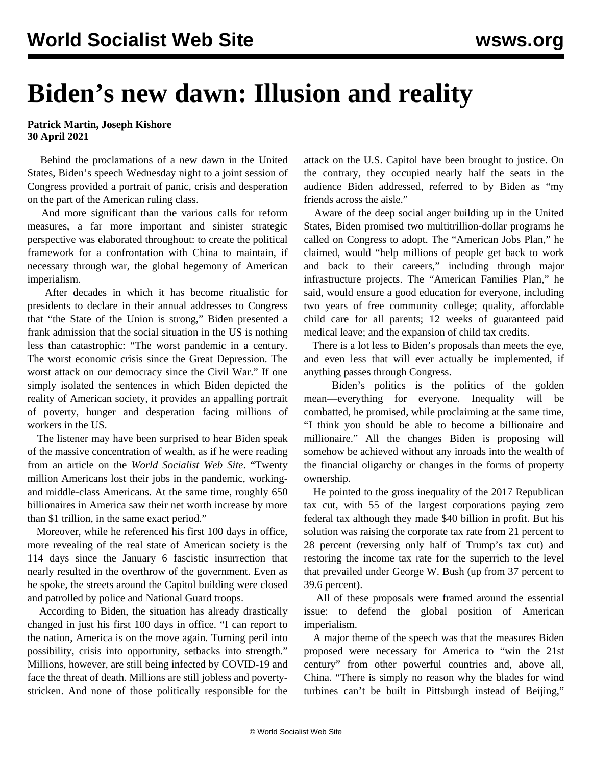## **Biden's new dawn: Illusion and reality**

**Patrick Martin, Joseph Kishore 30 April 2021**

 Behind the proclamations of a new dawn in the United States, Biden's speech Wednesday night to a joint session of Congress provided a portrait of panic, crisis and desperation on the part of the American ruling class.

 And more significant than the various calls for reform measures, a far more important and sinister strategic perspective was elaborated throughout: to create the political framework for a confrontation with China to maintain, if necessary through war, the global hegemony of American imperialism.

 After decades in which it has become ritualistic for presidents to declare in their annual addresses to Congress that "the State of the Union is strong," Biden presented a frank admission that the social situation in the US is nothing less than catastrophic: "The worst pandemic in a century. The worst economic crisis since the Great Depression. The worst attack on our democracy since the Civil War." If one simply isolated the sentences in which Biden depicted the reality of American society, it provides an appalling portrait of poverty, hunger and desperation facing millions of workers in the US.

 The listener may have been surprised to hear Biden speak of the massive concentration of wealth, as if he were reading from an article on the *World Socialist Web Site*. "Twenty million Americans lost their jobs in the pandemic, workingand middle-class Americans. At the same time, roughly 650 billionaires in America saw their net worth increase by more than \$1 trillion, in the same exact period."

 Moreover, while he referenced his first 100 days in office, more revealing of the real state of American society is the 114 days since the January 6 fascistic insurrection that nearly resulted in the overthrow of the government. Even as he spoke, the streets around the Capitol building were closed and patrolled by police and National Guard troops.

 According to Biden, the situation has already drastically changed in just his first 100 days in office. "I can report to the nation, America is on the move again. Turning peril into possibility, crisis into opportunity, setbacks into strength." Millions, however, are still being infected by COVID-19 and face the threat of death. Millions are still jobless and povertystricken. And none of those politically responsible for the attack on the U.S. Capitol have been brought to justice. On the contrary, they occupied nearly half the seats in the audience Biden addressed, referred to by Biden as "my friends across the aisle."

 Aware of the deep social anger building up in the United States, Biden promised two multitrillion-dollar programs he called on Congress to adopt. The "American Jobs Plan," he claimed, would "help millions of people get back to work and back to their careers," including through major infrastructure projects. The "American Families Plan," he said, would ensure a good education for everyone, including two years of free community college; quality, affordable child care for all parents; 12 weeks of guaranteed paid medical leave; and the expansion of child tax credits.

 There is a lot less to Biden's proposals than meets the eye, and even less that will ever actually be implemented, if anything passes through Congress.

 Biden's politics is the politics of the golden mean—everything for everyone. Inequality will be combatted, he promised, while proclaiming at the same time, "I think you should be able to become a billionaire and millionaire." All the changes Biden is proposing will somehow be achieved without any inroads into the wealth of the financial oligarchy or changes in the forms of property ownership.

 He pointed to the gross inequality of the 2017 Republican tax cut, with 55 of the largest corporations paying zero federal tax although they made \$40 billion in profit. But his solution was raising the corporate tax rate from 21 percent to 28 percent (reversing only half of Trump's tax cut) and restoring the income tax rate for the superrich to the level that prevailed under George W. Bush (up from 37 percent to 39.6 percent).

 All of these proposals were framed around the essential issue: to defend the global position of American imperialism.

 A major theme of the speech was that the measures Biden proposed were necessary for America to "win the 21st century" from other powerful countries and, above all, China. "There is simply no reason why the blades for wind turbines can't be built in Pittsburgh instead of Beijing,"